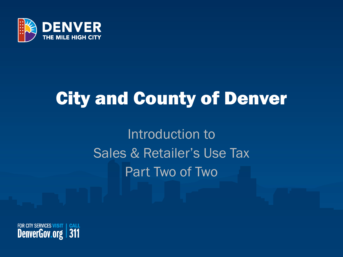

## City and County of Denver

Introduction to Sales & Retailer's Use Tax Part Two of Two

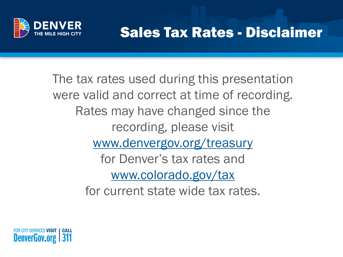

### Sales Tax Rates - Disclaimer

The tax rates used during this presentation were valid and correct at time of recording. Rates may have changed since the recording, please visit [www.denvergov.org/treasury](http://www.denvergov.org/treasury) for Denver's tax rates and [www.colorado.gov/tax](http://www.colorado.gov/revenue/tax) for current state wide tax rates.

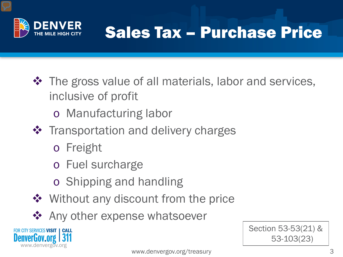

## Sales Tax – Purchase Price

- $\triangle$  The gross value of all materials, labor and services, inclusive of profit
	- o Manufacturing labor
- **❖** Transportation and delivery charges
	- o Freight
	- o Fuel surcharge
	- o Shipping and handling
- ❖ Without any discount from the price
- ❖ Any other expense whatsoever



Section 53-53(21) &

53-103(23)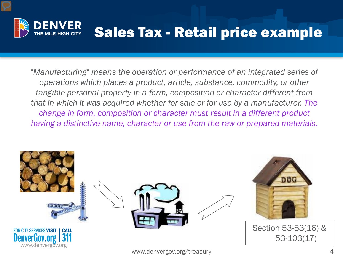

### Sales Tax - Retail price example

*"Manufacturing" means the operation or performance of an integrated series of operations which places a product, article, substance, commodity, or other tangible personal property in a form, composition or character different from that in which it was acquired whether for sale or for use by a manufacturer. The change in form, composition or character must result in a different product having a distinctive name, character or use from the raw or prepared materials.*

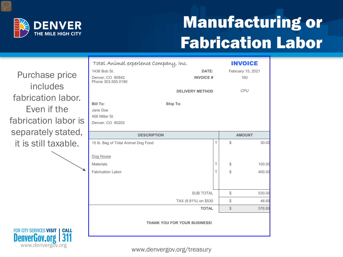

## Manufacturing or Fabrication Labor

Purchase price includes fabrication labor. Even if the fabrication labor is separately stated, it is still taxable.

www.denvergov.org

FOR CITY SERVICES VISIT | CALL

**DenverGov.org** 

| Total Anímal experíence Company, Inc.                     |              |       | <b>INVOICE</b>    |
|-----------------------------------------------------------|--------------|-------|-------------------|
| 1436 Bob St.                                              | DATE:        |       | February 15, 2021 |
| Denver, CO 80842<br><b>INVOICE#</b><br>Phone 303.555.0190 |              |       | 160               |
| <b>DELIVERY METHOD</b>                                    |              |       | <b>CPU</b>        |
| <b>Bill To:</b><br>Ship To:                               |              |       |                   |
| Jane Doe                                                  |              |       |                   |
| 456 Miller St.                                            |              |       |                   |
| Denver, CO 80202                                          |              |       |                   |
| <b>DESCRIPTION</b>                                        |              |       | <b>AMOUNT</b>     |
| 15 lb. Bag of Total Animal Dog Food                       | T            | \$    | 30.00             |
|                                                           |              |       |                   |
| Dog House                                                 |              |       |                   |
| <b>Materials</b>                                          | T            | \$    | 100.00            |
| <b>Fabrication Labor</b>                                  | T            | \$    | 400.00            |
|                                                           |              |       |                   |
| <b>SUB TOTAL</b>                                          |              | \$    | 530.00            |
| TAX (8.81%) on \$530                                      |              | \$    | 46.69             |
|                                                           | <b>TOTAL</b> | $\$\$ | 576.69            |
| <b>THANK YOU FOR YOUR BUSINESS!</b>                       |              |       |                   |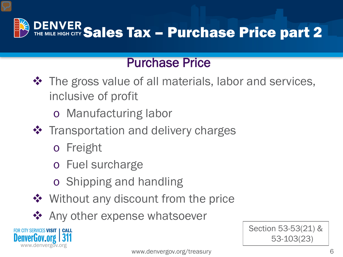

#### Purchase Price

- ❖ The gross value of all materials, labor and services, inclusive of profit
	- o Manufacturing labor
- **❖** Transportation and delivery charges
	- o Freight
	- o Fuel surcharge
	- o Shipping and handling
- ❖ Without any discount from the price
- ❖ Any other expense whatsoever



6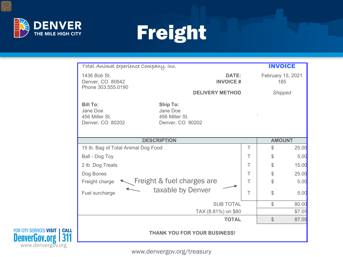

≡

FOR CITY SERVICES VISIT | CALL<br>**DenverGov.org | 311** 

# Freight

| Total Anímal experíence Company, Inc.                             |                                                                   |   | <b>INVOICE</b>           |        |
|-------------------------------------------------------------------|-------------------------------------------------------------------|---|--------------------------|--------|
| 1436 Bob St.<br>Denver, CO 80842<br>Phone 303.555.0190            | <b>DATE:</b><br><b>INVOICE#</b>                                   |   | February 15, 2021<br>185 |        |
|                                                                   | <b>DELIVERY METHOD</b>                                            |   | <b>Shipped</b>           |        |
| <b>Bill To:</b><br>Jane Doe<br>456 Miller St.<br>Denver, CO 80202 | <b>Ship To:</b><br>Jane Doe<br>456 Miller St.<br>Denver, CO 80202 |   |                          |        |
|                                                                   | <b>DESCRIPTION</b>                                                |   | <b>AMOUNT</b>            |        |
| 15 lb. Bag of Total Animal Dog Food                               |                                                                   | T | $\mathbb{S}$             | 25.00  |
| Ball - Dog Toy                                                    |                                                                   | Τ | \$                       | 5.00   |
| 2 lb. Dog Treats                                                  |                                                                   | T | $\mathcal{L}$            | 15.00  |
| Dog Bones                                                         |                                                                   | T | $\mathbb S$              | 25.00  |
| Freight charge                                                    | Freight & fuel charges are                                        | T | \$                       | 5.00   |
| Fuel surcharge                                                    | taxable by Denver                                                 | T | \$                       | 5.00   |
|                                                                   | <b>SUB TOTAL</b>                                                  |   | \$                       | 80.00  |
|                                                                   | TAX (8.81%) on \$80                                               |   |                          | \$7.05 |
|                                                                   | <b>TOTAL</b>                                                      |   | $\mathbb S$              | 87.05  |
|                                                                   | <b>THANK YOU FOR YOUR BUSINESS!</b>                               |   |                          |        |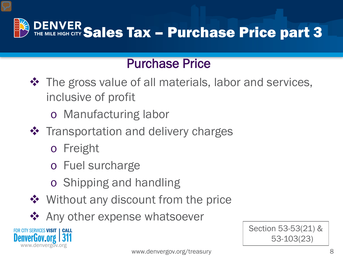

#### Purchase Price

- $\triangle$  The gross value of all materials, labor and services, inclusive of profit
	- o Manufacturing labor
- ❖ Transportation and delivery charges
	- o Freight
	- o Fuel surcharge
	- o Shipping and handling
- ❖ Without any discount from the price
- ❖ Any other expense whatsoever

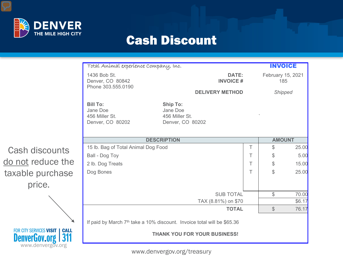

≡

#### Cash Discount

|                                                                                        | Total Animal experience Company, Inc.                             |                                                                         |   | <b>INVOICE</b>           |        |
|----------------------------------------------------------------------------------------|-------------------------------------------------------------------|-------------------------------------------------------------------------|---|--------------------------|--------|
|                                                                                        | 1436 Bob St.<br>Denver, CO 80842<br>Phone 303.555.0190            | DATE:<br><b>INVOICE#</b>                                                |   | February 15, 2021<br>185 |        |
|                                                                                        |                                                                   | <b>DELIVERY METHOD</b>                                                  |   | Shipped                  |        |
|                                                                                        | <b>Bill To:</b><br>Jane Doe<br>456 Miller St.<br>Denver, CO 80202 | <b>Ship To:</b><br>Jane Doe<br>456 Miller St.<br>Denver, CO 80202       |   |                          |        |
|                                                                                        |                                                                   | <b>DESCRIPTION</b>                                                      |   | <b>AMOUNT</b>            |        |
| Cash discounts                                                                         | 15 lb. Bag of Total Animal Dog Food                               |                                                                         | т | $\mathcal{L}$            | 25.00  |
|                                                                                        | Ball - Dog Toy                                                    |                                                                         | Τ | \$                       | 5.00   |
| do not reduce the                                                                      | 2 lb. Dog Treats                                                  |                                                                         | Τ | $\mathcal{S}$            | 15.00  |
| taxable purchase                                                                       | Dog Bones                                                         |                                                                         | Τ | $\mathbb S$              | 25.00  |
| price.                                                                                 |                                                                   |                                                                         |   |                          |        |
|                                                                                        |                                                                   | <b>SUB TOTAL</b>                                                        |   | \$                       | 70.00  |
|                                                                                        |                                                                   | TAX (8.81%) on \$70                                                     |   |                          | \$6.17 |
|                                                                                        |                                                                   | <b>TOTAL</b>                                                            |   | $\frac{1}{2}$            | 76.17  |
|                                                                                        |                                                                   | If paid by March 7th take a 10% discount. Invoice total will be \$65.36 |   |                          |        |
| FOR CITY SERVICES VISIT   CALL<br>  311<br><b>DenverGov.org  </b><br>www.denvergov.org |                                                                   | <b>THANK YOU FOR YOUR BUSINESS!</b>                                     |   |                          |        |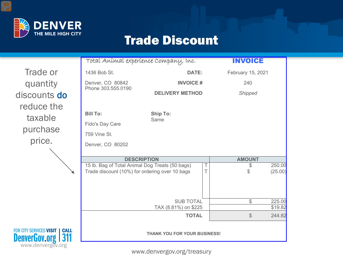

#### Trade Discount

Trade or quantity discounts do reduce the taxable purchase price.

www.denvergov.org

FOR CITY SERVICES VISIT | CALL

**DenverGov.org** 

| Total Anímal experíence Company, Inc.                                                             |                                          |                  | <b>INVOICE</b>     |                   |
|---------------------------------------------------------------------------------------------------|------------------------------------------|------------------|--------------------|-------------------|
| 1436 Bob St.                                                                                      | <b>DATE:</b>                             |                  | February 15, 2021  |                   |
| <b>INVOICE#</b><br>Denver, CO 80842                                                               |                                          |                  | 240                |                   |
| Phone 303.555.0190                                                                                | <b>DELIVERY METHOD</b>                   |                  | <b>Shipped</b>     |                   |
| <b>Bill To:</b>                                                                                   | <b>Ship To:</b>                          |                  |                    |                   |
| Fido's Day Care                                                                                   | Same                                     |                  |                    |                   |
| 759 Vine St.                                                                                      |                                          |                  |                    |                   |
| Denver, CO 80202                                                                                  |                                          |                  |                    |                   |
| <b>DESCRIPTION</b>                                                                                |                                          |                  | <b>AMOUNT</b>      |                   |
| 15 lb. Bag of Total Animal Dog Treats (50 bags)<br>Trade discount (10%) for ordering over 10 bags |                                          | $\top$<br>$\top$ | \$<br>$\mathbb{S}$ | 250.00<br>(25.00) |
|                                                                                                   | <b>SUB TOTAL</b><br>TAX (8.81%) on \$225 |                  | $\mathcal{L}$      | 225.00<br>\$19.82 |
|                                                                                                   | <b>TOTAL</b>                             |                  | $\mathcal{S}$      | 244.82            |
|                                                                                                   | <b>THANK YOU FOR YOUR BUSINESS!</b>      |                  |                    |                   |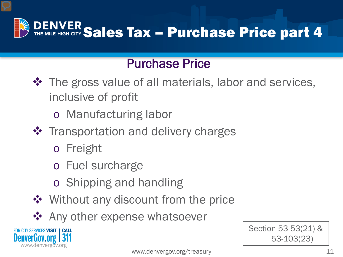

#### Purchase Price

- ❖ The gross value of all materials, labor and services, inclusive of profit
	- o Manufacturing labor
- **❖** Transportation and delivery charges
	- o Freight
	- o Fuel surcharge
	- o Shipping and handling
- ❖ Without any discount from the price
- ❖ Any other expense whatsoever



Section 53-53(21) &

53-103(23)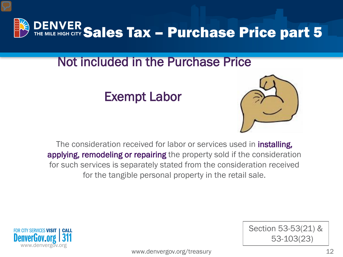

#### Not included in the Purchase Pr[ice](http://images.google.com/imgres?imgurl=http://shallowthinker.com/wp-content/uploads/2008/01/muscle.jpg&imgrefurl=http://shallowthinker.com/2008/01/&usg=__Pf_p7nsx4wk1_6Iw3ieOhYvTrxY=&h=702&w=720&sz=20&hl=en&start=13&tbnid=0xOkeKw30KEK_M:&tbnh=137&tbnw=140&prev=/images?q=muscle&gbv=2&hl=en)

Exempt Labor



Section 53-53(21) &

53-103(23)

The consideration received for labor or services used in **installing**, applying, remodeling or repairing the property sold if the consideration for such services is separately stated from the consideration received for the tangible personal property in the retail sale.

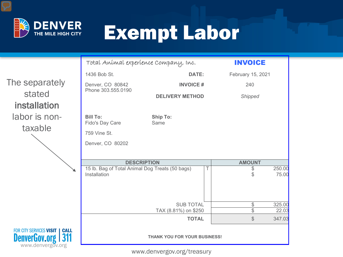

# Exempt Labor

|                                                                                                       | Total Anímal experíence Company, Inc.                           |                              | <b>INVOICE</b>           |                 |
|-------------------------------------------------------------------------------------------------------|-----------------------------------------------------------------|------------------------------|--------------------------|-----------------|
|                                                                                                       | 1436 Bob St.                                                    | <b>DATE:</b>                 | February 15, 2021        |                 |
| The separately                                                                                        | Denver, CO 80842<br>Phone 303.555.0190                          | <b>INVOICE#</b>              | 240                      |                 |
| stated<br>installation                                                                                |                                                                 | <b>DELIVERY METHOD</b>       | <b>Shipped</b>           |                 |
| labor is non-<br>taxable                                                                              | <b>Bill To:</b><br>Fido's Day Care                              | <b>Ship To:</b><br>Same      |                          |                 |
|                                                                                                       | 759 Vine St.<br>Denver, CO 80202                                |                              |                          |                 |
|                                                                                                       | <b>DESCRIPTION</b>                                              |                              | <b>AMOUNT</b>            |                 |
|                                                                                                       | 15 lb. Bag of Total Animal Dog Treats (50 bags)<br>Installation |                              | \$<br>$\mathcal{L}$      | 250.00<br>75.00 |
|                                                                                                       |                                                                 | <b>SUB TOTAL</b>             | \$                       | 325.00          |
|                                                                                                       |                                                                 | TAX (8.81%) on \$250         | $\overline{\mathcal{S}}$ | 22.03           |
|                                                                                                       |                                                                 | <b>TOTAL</b>                 | $\frac{1}{2}$            | 347.03          |
| <b>FOR CITY SERVICES VISIT  </b><br><b>CALL</b><br>  311<br><b>DenverGov.org</b><br>www.denvergov.org |                                                                 | THANK YOU FOR YOUR BUSINESS! |                          |                 |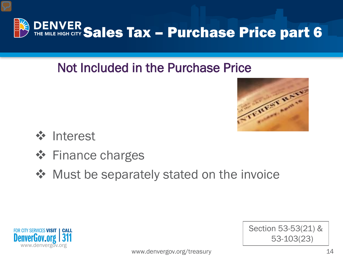

### Not Included in the Purchase Price



Section 53-53(21) &

53-103(23)

- **❖** Interest
- **❖** Finance charges
- ◆ Must be separately stated on the invoice

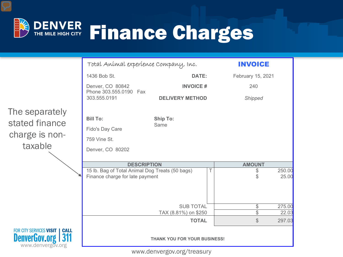

|                                                                                      | Total Anímal experíence Company, Inc.           |                                     | <b>INVOICE</b>    |        |
|--------------------------------------------------------------------------------------|-------------------------------------------------|-------------------------------------|-------------------|--------|
|                                                                                      | 1436 Bob St.                                    | <b>DATE:</b>                        | February 15, 2021 |        |
|                                                                                      | Denver, CO 80842<br>Phone 303.555.0190 Fax      | <b>INVOICE#</b>                     | 240               |        |
|                                                                                      | 303.555.0191                                    | <b>DELIVERY METHOD</b>              | <b>Shipped</b>    |        |
| The separately                                                                       | <b>Bill To:</b>                                 | <b>Ship To:</b>                     |                   |        |
| stated finance                                                                       |                                                 | Same                                |                   |        |
|                                                                                      | Fido's Day Care                                 |                                     |                   |        |
| charge is non-                                                                       | 759 Vine St.                                    |                                     |                   |        |
| taxable                                                                              | Denver, CO 80202                                |                                     |                   |        |
|                                                                                      |                                                 |                                     |                   |        |
|                                                                                      | <b>DESCRIPTION</b>                              |                                     | <b>AMOUNT</b>     |        |
|                                                                                      | 15 lb. Bag of Total Animal Dog Treats (50 bags) | $\top$                              | \$                | 250.00 |
|                                                                                      | Finance charge for late payment                 |                                     | \$                | 25.00  |
|                                                                                      |                                                 | <b>SUB TOTAL</b>                    | \$                | 275.00 |
|                                                                                      |                                                 | TAX (8.81%) on \$250                | $\overline{\$}$   | 22.03  |
|                                                                                      |                                                 | <b>TOTAL</b>                        | $\mathcal{L}$     | 297.03 |
| FOR CITY SERVICES VISIT   CALL<br><b>DenverGov.org</b><br>  311<br>www.denvergov.org |                                                 | <b>THANK YOU FOR YOUR BUSINESS!</b> |                   |        |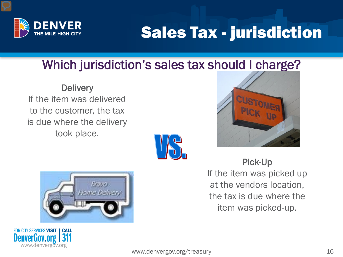

### Sales Tax - jurisdiction

### Which jurisdiction's sales tax should I charge?

**Delivery** If the item was delivered to the customer, the tax is due where the delivery took place.





Pick-Up If the item was picked-up at the vendors location, the tax is due where the item was picked-up.



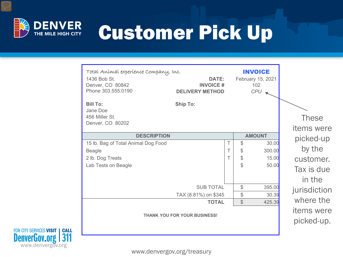

# Customer Pick Up

| Total Anímal experíence Company, Inc.<br>1436 Bob St.<br>Denver, CO 80842<br>Phone 303.555.0190 | <b>DATE:</b><br><b>INVOICE#</b><br><b>DELIVERY METHOD</b> | <b>INVOICE</b><br>February 15, 2021<br>102<br>$CPU \rightarrow$ |                                   |
|-------------------------------------------------------------------------------------------------|-----------------------------------------------------------|-----------------------------------------------------------------|-----------------------------------|
| <b>Bill To:</b><br>Jane Doe<br>456 Miller St.<br>Denver, CO 80202                               | <b>Ship To:</b>                                           |                                                                 | <b>These</b><br><i>items</i> were |
| <b>DESCRIPTION</b>                                                                              |                                                           | <b>AMOUNT</b>                                                   | picked-up                         |
| 15 lb. Bag of Total Animal Dog Food                                                             | т                                                         | $\mathcal{S}$<br>30.00                                          |                                   |
| <b>Beagle</b>                                                                                   | T                                                         | 300.00<br>\$                                                    | by the                            |
| 2 lb. Dog Treats                                                                                | Τ                                                         | \$<br><b>15.00</b>                                              | customer.                         |
| Lab Tests on Beagle                                                                             |                                                           | \$<br>50.00                                                     | Tax is due<br>in the              |
|                                                                                                 | <b>SUB TOTAL</b>                                          | \$<br>395.00                                                    | jurisdiction                      |
|                                                                                                 | TAX (8.81%) on \$345                                      | \$<br>30.39                                                     |                                   |
|                                                                                                 | <b>TOTAL</b>                                              | $\mathcal{L}$<br>425.39                                         | where the                         |
|                                                                                                 | <b>THANK YOU FOR YOUR BUSINESS!</b>                       |                                                                 | <i>items</i> were<br>picked-up.   |

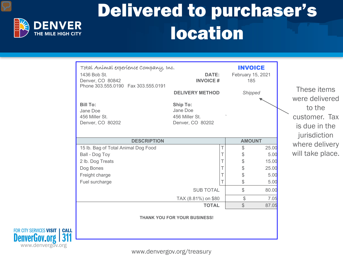

www.denvergov.org

FOR CITY SERVICES VISIT | CALL

**DenverGov.org** 

## Delivered to purchaser's location

| Total Anímal experíence Company, Inc.<br>1436 Bob St.<br>Denver, CO 80842<br>Phone 303.555.0190  Fax 303.555.0191<br><b>Bill To:</b><br>Jane Doe<br>456 Miller St.<br>Denver, CO 80202 | <b>DELIVERY METHOD</b><br><b>Ship To:</b><br>Jane Doe<br>456 Miller St.<br>Denver, CO 80202 | <b>DATE:</b><br><b>INVOICE#</b> | <b>INVOICE</b><br>February 15, 2021<br>185<br><b>Shipped</b> |       | These items<br>were delivered<br>to the<br>customer. Tax<br>is due in the<br>jurisdiction |
|----------------------------------------------------------------------------------------------------------------------------------------------------------------------------------------|---------------------------------------------------------------------------------------------|---------------------------------|--------------------------------------------------------------|-------|-------------------------------------------------------------------------------------------|
|                                                                                                                                                                                        | <b>DESCRIPTION</b>                                                                          |                                 | <b>AMOUNT</b>                                                |       | where delivery                                                                            |
| 15 lb. Bag of Total Animal Dog Food                                                                                                                                                    |                                                                                             |                                 | \$                                                           | 25.00 |                                                                                           |
| Ball - Dog Toy                                                                                                                                                                         |                                                                                             |                                 | \$                                                           | 5.00  | will take place.                                                                          |
| 2 lb. Dog Treats                                                                                                                                                                       |                                                                                             |                                 | \$                                                           | 15.00 |                                                                                           |
| Dog Bones                                                                                                                                                                              |                                                                                             |                                 | \$                                                           | 25.00 |                                                                                           |
| Freight charge                                                                                                                                                                         |                                                                                             |                                 | \$                                                           | 5.00  |                                                                                           |
| Fuel surcharge                                                                                                                                                                         |                                                                                             |                                 | \$                                                           | 5.00  |                                                                                           |
|                                                                                                                                                                                        |                                                                                             | <b>SUB TOTAL</b>                | \$                                                           | 80.00 |                                                                                           |
|                                                                                                                                                                                        | TAX (8.81%) on \$80                                                                         |                                 | \$                                                           | 7.05  |                                                                                           |
|                                                                                                                                                                                        |                                                                                             | <b>TOTAL</b>                    | $\mathbb{S}$                                                 | 87.05 |                                                                                           |
|                                                                                                                                                                                        | <b>THANK YOU FOR YOUR BUSINESS!</b>                                                         |                                 |                                                              |       |                                                                                           |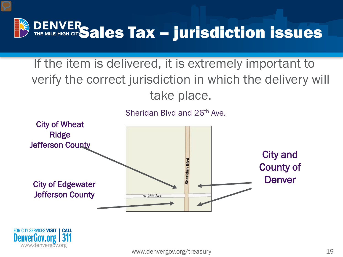

If the item is delivered, it is extremely important to verify the correct jurisdiction in which the delivery will take place.

Sheridan Blvd and 26th Ave.



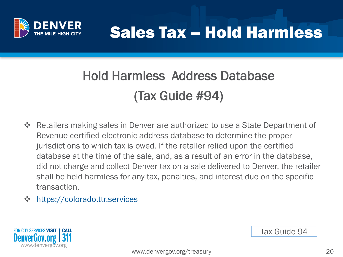

### Sales Tax – Hold Harmless

### Hold Harmless Address Database (Tax Guide #94)

- Retailers making sales in Denver are authorized to use a State Department of Revenue certified electronic address database to determine the proper jurisdictions to which tax is owed. If the retailer relied upon the certified database at the time of the sale, and, as a result of an error in the database, did not charge and collect Denver tax on a sale delivered to Denver, the retailer shall be held harmless for any tax, penalties, and interest due on the specific transaction.
- **❖** [https://colorado.ttr.services](https://colorado.ttr.services/)



Tax Guide 94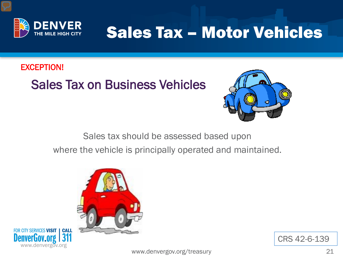

### Sales Tax – Motor Vehicles

#### EXCEPTION!

#### Sales Tax on Business Vehicles



Sales tax should be assessed based upon where the vehicle is principally operated and maintained.





CRS 42-6-139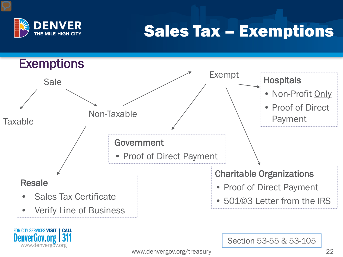

### Sales Tax – Exemptions

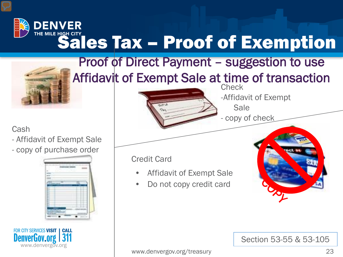### **DENVER** THE MILE HIGH CITY **Sales Tax – Proof of Exemption**



Cash

- Affidavit of Exempt Sale
- copy [of purchase order](http://images.google.com/imgres?imgurl=http://content.etilize.com/225/11971155.jpg&imgrefurl=http://www.iteminfo.com/SearchResults.aspx?sku=TOP46140&prodID=11971155&usg=__XvPpf3XGXpP1Es2ykX1Ij9A_yuE=&h=225&w=225&sz=29&hl=en&start=23&um=1&tbnid=hcu819VIk3h-LM:&tbnh=108&tbnw=108&prev=/images?q=purchase+order+book&ndsp=20&hl=en&sa=N&start=20&um=1)





#### **Check** Proof of Direct Payment – suggestion to use [Af](http://images.google.com/imgres?imgurl=http://www.rental-data.com/images/ist2_3295050_coins_and_cash.jpg&imgrefurl=http://www.rental-data.com/p/Landlord.htm&usg=__r_Z5fEnpnyr7iOPPe3IXOmXyzII=&h=253&w=380&sz=54&hl=en&start=2&um=1&tbnid=ISSfALYHKR4gPM:&tbnh=82&tbnw=123&prev=/images?q=coins+and+cash&hl=en&um=1)fidavit of Exempt Sale at time of transaction



- Affidavit of Exempt Sale
- Do not copy credit card



-Affidavit of Exempt

Sale

Section 53-55 & 53-105